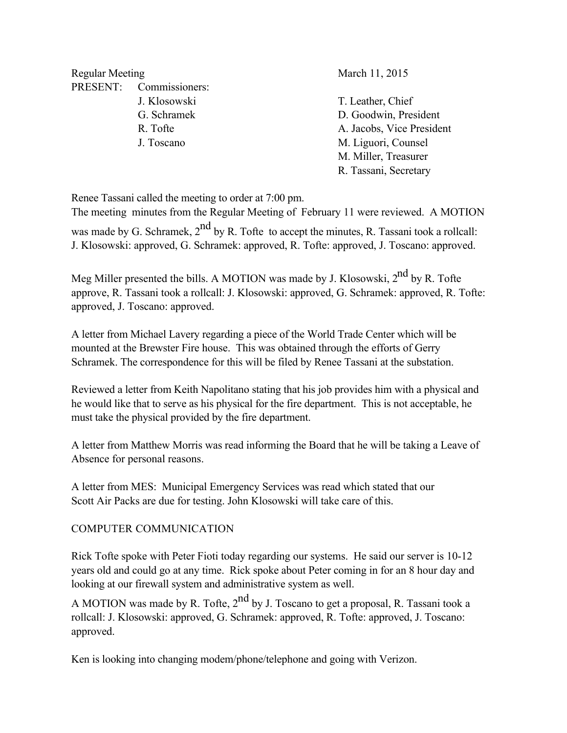Regular Meeting March 11, 2015 PRESENT: Commissioners:

 J. Klosowski T. Leather, Chief G. Schramek D. Goodwin, President R. Tofte A. Jacobs, Vice President J. Toscano M. Liguori, Counsel M. Miller, Treasurer R. Tassani, Secretary

Renee Tassani called the meeting to order at 7:00 pm.

The meeting minutes from the Regular Meeting of February 11 were reviewed. A MOTION

was made by G. Schramek,  $2^{nd}$  by R. Tofte to accept the minutes, R. Tassani took a rollcall: J. Klosowski: approved, G. Schramek: approved, R. Tofte: approved, J. Toscano: approved.

Meg Miller presented the bills. A MOTION was made by J. Klosowski, 2<sup>nd</sup> by R. Tofte approve, R. Tassani took a rollcall: J. Klosowski: approved, G. Schramek: approved, R. Tofte: approved, J. Toscano: approved.

A letter from Michael Lavery regarding a piece of the World Trade Center which will be mounted at the Brewster Fire house. This was obtained through the efforts of Gerry Schramek. The correspondence for this will be filed by Renee Tassani at the substation.

Reviewed a letter from Keith Napolitano stating that his job provides him with a physical and he would like that to serve as his physical for the fire department. This is not acceptable, he must take the physical provided by the fire department.

A letter from Matthew Morris was read informing the Board that he will be taking a Leave of Absence for personal reasons.

A letter from MES: Municipal Emergency Services was read which stated that our Scott Air Packs are due for testing. John Klosowski will take care of this.

### COMPUTER COMMUNICATION

Rick Tofte spoke with Peter Fioti today regarding our systems. He said our server is 10-12 years old and could go at any time. Rick spoke about Peter coming in for an 8 hour day and looking at our firewall system and administrative system as well.

A MOTION was made by R. Tofte,  $2^{nd}$  by J. Toscano to get a proposal, R. Tassani took a rollcall: J. Klosowski: approved, G. Schramek: approved, R. Tofte: approved, J. Toscano: approved.

Ken is looking into changing modem/phone/telephone and going with Verizon.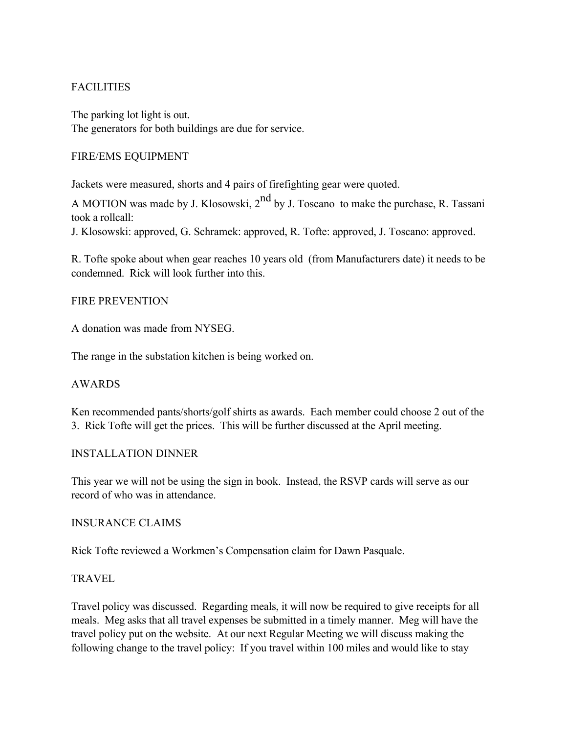# **FACILITIES**

The parking lot light is out. The generators for both buildings are due for service.

### FIRE/EMS EQUIPMENT

Jackets were measured, shorts and 4 pairs of firefighting gear were quoted.

A MOTION was made by J. Klosowski,  $2<sup>nd</sup>$  by J. Toscano to make the purchase, R. Tassani took a rollcall:

J. Klosowski: approved, G. Schramek: approved, R. Tofte: approved, J. Toscano: approved.

R. Tofte spoke about when gear reaches 10 years old (from Manufacturers date) it needs to be condemned. Rick will look further into this.

### FIRE PREVENTION

A donation was made from NYSEG.

The range in the substation kitchen is being worked on.

#### AWARDS

Ken recommended pants/shorts/golf shirts as awards. Each member could choose 2 out of the 3. Rick Tofte will get the prices. This will be further discussed at the April meeting.

#### INSTALLATION DINNER

This year we will not be using the sign in book. Instead, the RSVP cards will serve as our record of who was in attendance.

#### INSURANCE CLAIMS

Rick Tofte reviewed a Workmen's Compensation claim for Dawn Pasquale.

#### TRAVEL

Travel policy was discussed. Regarding meals, it will now be required to give receipts for all meals. Meg asks that all travel expenses be submitted in a timely manner. Meg will have the travel policy put on the website. At our next Regular Meeting we will discuss making the following change to the travel policy: If you travel within 100 miles and would like to stay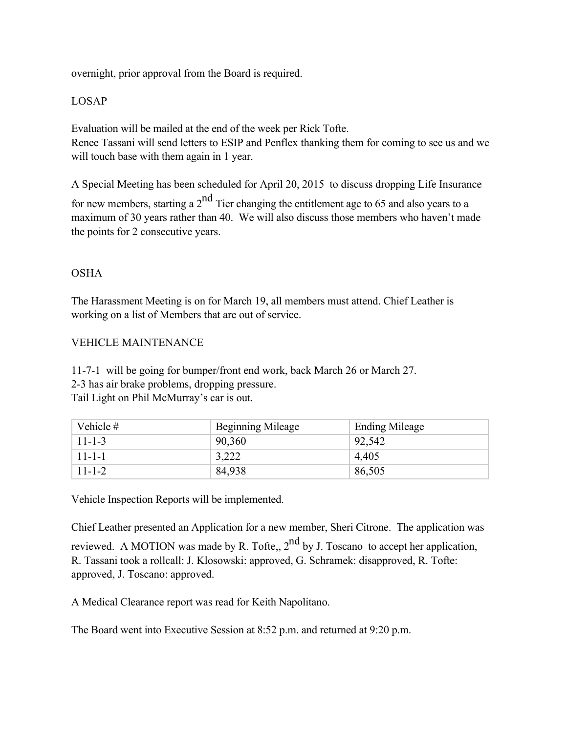overnight, prior approval from the Board is required.

## LOSAP

Evaluation will be mailed at the end of the week per Rick Tofte. Renee Tassani will send letters to ESIP and Penflex thanking them for coming to see us and we will touch base with them again in 1 year.

A Special Meeting has been scheduled for April 20, 2015 to discuss dropping Life Insurance

for new members, starting a  $2<sup>nd</sup>$  Tier changing the entitlement age to 65 and also years to a maximum of 30 years rather than 40. We will also discuss those members who haven't made the points for 2 consecutive years.

## OSHA

The Harassment Meeting is on for March 19, all members must attend. Chief Leather is working on a list of Members that are out of service.

## VEHICLE MAINTENANCE

11-7-1 will be going for bumper/front end work, back March 26 or March 27. 2-3 has air brake problems, dropping pressure. Tail Light on Phil McMurray's car is out.

| Vehicle #    | <b>Beginning Mileage</b> | <b>Ending Mileage</b> |
|--------------|--------------------------|-----------------------|
| $11 - 1 - 3$ | 90,360                   | 92,542                |
| $11 - 1 - 1$ | 3,222                    | 4,405                 |
| $11 - 1 - 2$ | 84,938                   | 86,505                |

Vehicle Inspection Reports will be implemented.

Chief Leather presented an Application for a new member, Sheri Citrone. The application was

reviewed. A MOTION was made by R. Tofte,,  $2<sup>nd</sup>$  by J. Toscano to accept her application, R. Tassani took a rollcall: J. Klosowski: approved, G. Schramek: disapproved, R. Tofte: approved, J. Toscano: approved.

A Medical Clearance report was read for Keith Napolitano.

The Board went into Executive Session at 8:52 p.m. and returned at 9:20 p.m.